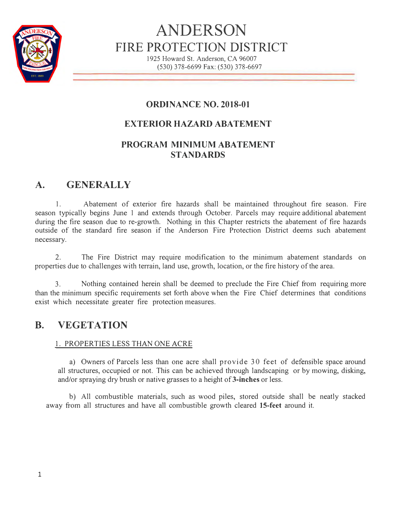

# **ANDERSON FIRE PROTECTION DISTRICT**

1925 Howard St. Anderson, CA 96007 (530) 378-6699 Fax: (530) 378-6697

## **ORDINANCE NO. 2018-01**

### **EXTERIOR HAZARD ABATEMENT**

### **PROGRAM MINIMUM ABATEMENT STANDARDS**

# **A. GENERALLY**

1. Abatement of exterior fire hazards shall be maintained throughout fire season. Fire season typically begins June 1 and extends through October. Parcels may require additional abatement during the fire season due to re-growth. Nothing in this Chapter restricts the abatement of fire hazards outside of the standard fire season if the Anderson Fire Protection District deems such abatement necessary.

2. The Fire District may require modification to the minimum abatement standards on properties due to challenges with terrain, land use, growth, location, or the fire history of the area.

3. Nothing contained herein shall be deemed to preclude the Fire Chief from requiring more than the minimum specific requirements set forth above when the Fire Chief determines that conditions exist which necessitate greater fire protection measures.

## **B. VEGETATION**

#### 1. PROPERTIES LESS THAN ONE ACRE

a) Owners of Parcels less than one acre shall provide 30 feet of defensible space around all structures, occupied or not. This can be achieved through landscaping or by mowing, disking, and/or spraying dry brush or native grasses to a height of **3-inches** or less.

b) All combustible materials, such as wood piles, stored outside shall be neatly stacked away from all structures and have all combustible growth cleared **15-feet** around it.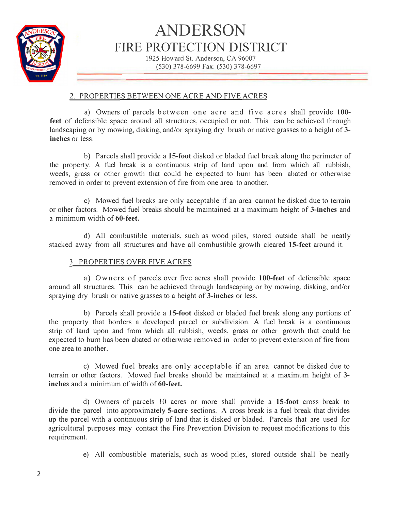

# **ANDERSON FIRE PROTECTION DISTRICT**

1925 Howard St. Anderson, CA 96007 (530) 378-6699 Fax: (530) 378-6697

#### 2. PROPERTIES BETWEEN ONE ACRE AND FIVE ACRES

a) Owners of parcels between one acre and five acres shall provide **100 feet** of defensible space around all structures, occupied or not. This can be achieved through landscaping or by mowing, disking, and/or spraying dry brush or native grasses to a height of 3**inches** or less.

b) Parcels shall provide a **15-foot** disked or bladed fuel break along the perimeter of the property. A fuel break is a continuous strip of land upon and from which all rubbish, weeds, grass or other growth that could be expected to burn has been abated or otherwise removed in order to prevent extension of fire from one area to another.

c) Mowed fuel breaks are only acceptable if an area cannot be disked due to terrain or other factors. Mowed fuel breaks should be maintained at a maximum height of **3-inches** and a minimum width of **60-feet.**

d) All combustible materials, such as wood piles, stored outside shall be neatly stacked away from all structures and have all combustible growth cleared **15-feet** around it.

#### 3. PROPERTIES OYER FIVE ACRES

a) Owners of parcels over five acres shall provide **JOO-feet** of defensible space around all structures. This can be achieved through landscaping or by mowing, disking, and/or spraying dry brush or native grasses to a height of **3-inches** or less.

b) Parcels shall provide a **15-foot** disked or bladed fuel break along any portions of the property that borders a developed parcel or subdivision. A fuel break is a continuous strip of land upon and from which all rubbish, weeds, grass or other growth that could be expected to burn has been abated or otherwise removed in order to prevent extension of fire from one area to another.

c) Mowed fuel breaks are only acceptable if an area cannot be disked due to terrain or other factors. Mowed fuel breaks should be maintained at a maximum height of 3 **inches** and a minimum of width of **60-feet.**

d) Owners of parcels IO acres or more shall provide a **15-foot** cross break to divide the parcel into approximately **5-acre** sections. A cross break is a fuel break that divides up the parcel with a continuous strip of land that is disked or bladed. Parcels that are used for agricultural purposes may contact the Fire Prevention Division to request modifications to this requirement.

e) All combustible materials, such as wood piles, stored outside shall be neatly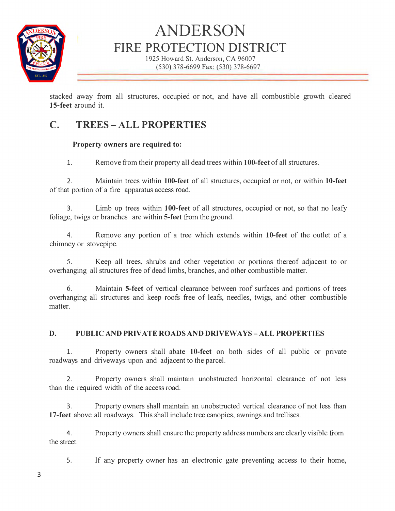

# **ANDERSON FIRE PROTECTION DISTRICT**  1925 Howard St. Anderson, CA 96007

(530) 378-6699 Fax: (530) 378-6697

stacked away from all structures, occupied or not, and have all combustible growth cleared **15-feet** around it.

# **C. TREES - ALL PROPERTIES**

#### **Property owners are required to:**

1. Remove from their property all dead trees within **100-feet** of all structures.

2. Maintain trees within 100-feet of all structures, occupied or not, or within 10-feet of that portion of a fire apparatus access road.

3. Limb up trees within **100-feet** of all structures, occupied or not, so that no leafy foliage, twigs or branches are within **5-feet** from the ground.

4. Remove any portion of a tree which extends within 10-feet of the outlet of a chimney or stovepipe.

5. Keep all trees, shrubs and other vegetation or portions thereof adjacent to or overhanging all structures free of dead limbs, branches, and other combustible matter.

6. Maintain **5-feet** of vertical clearance between roof surfaces and portions of trees overhanging all structures and keep roofs free of leafs, needles, twigs, and other combustible matter.

#### **D. PUBLIC AND PRIVATE ROADS AND DRIVEWAYS-ALL PROPERTIES**

1. Property owners shall abate **10-feet** on both sides of all public or private roadways and driveways upon and adjacent to the parcel.

2. Property owners shall maintain unobstructed horizontal clearance of not less than the required width of the access road.

3. Property owners shall maintain an unobstructed vertical clearance of not less than **17-feet** above all roadways. This shall include tree canopies, awnings and trellises.

4. Property owners shall ensure the property address numbers are clearly visible from the street.

5. If any property owner has an electronic gate preventing access to their home,